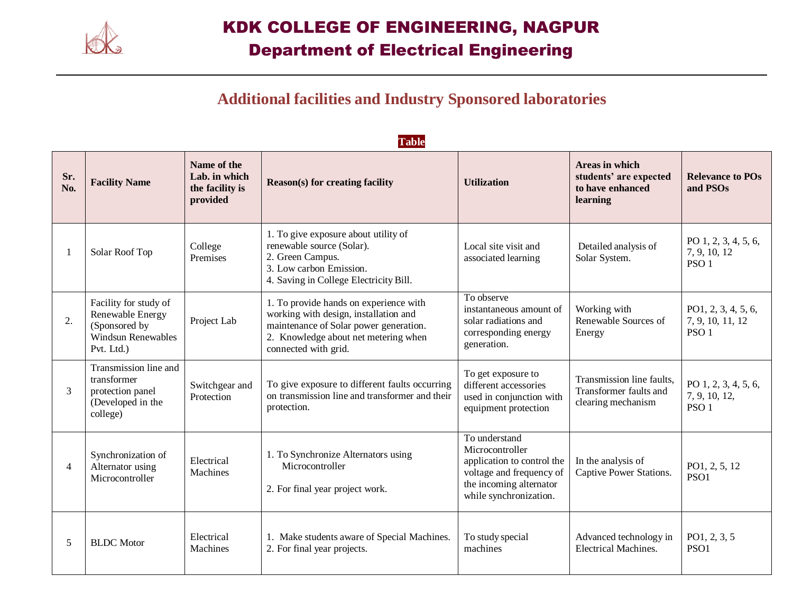

#### **Additional facilities and Industry Sponsored laboratories**

**Table**

|                | <b>T</b> and                                                                                          |                                                             |                                                                                                                                                                                           |                                                                                                                                                 |                                                                           |                                                             |
|----------------|-------------------------------------------------------------------------------------------------------|-------------------------------------------------------------|-------------------------------------------------------------------------------------------------------------------------------------------------------------------------------------------|-------------------------------------------------------------------------------------------------------------------------------------------------|---------------------------------------------------------------------------|-------------------------------------------------------------|
| Sr.<br>No.     | <b>Facility Name</b>                                                                                  | Name of the<br>Lab. in which<br>the facility is<br>provided | <b>Reason(s)</b> for creating facility                                                                                                                                                    | <b>Utilization</b>                                                                                                                              | Areas in which<br>students' are expected<br>to have enhanced<br>learning  | <b>Relevance to POs</b><br>and PSOs                         |
|                | Solar Roof Top                                                                                        | College<br>Premises                                         | 1. To give exposure about utility of<br>renewable source (Solar).<br>2. Green Campus.<br>3. Low carbon Emission.<br>4. Saving in College Electricity Bill.                                | Local site visit and<br>associated learning                                                                                                     | Detailed analysis of<br>Solar System.                                     | PO 1, 2, 3, 4, 5, 6,<br>7, 9, 10, 12<br>PSO <sub>1</sub>    |
| 2.             | Facility for study of<br>Renewable Energy<br>(Sponsored by<br><b>Windsun Renewables</b><br>Pvt. Ltd.) | Project Lab                                                 | 1. To provide hands on experience with<br>working with design, installation and<br>maintenance of Solar power generation.<br>2. Knowledge about net metering when<br>connected with grid. | To observe<br>instantaneous amount of<br>solar radiations and<br>corresponding energy<br>generation.                                            | Working with<br>Renewable Sources of<br>Energy                            | PO1, 2, 3, 4, 5, 6,<br>7, 9, 10, 11, 12<br>PSO <sub>1</sub> |
| 3              | Transmission line and<br>transformer<br>protection panel<br>(Developed in the<br>college)             | Switchgear and<br>Protection                                | To give exposure to different faults occurring<br>on transmission line and transformer and their<br>protection.                                                                           | To get exposure to<br>different accessories<br>used in conjunction with<br>equipment protection                                                 | Transmission line faults,<br>Transformer faults and<br>clearing mechanism | PO 1, 2, 3, 4, 5, 6,<br>7, 9, 10, 12,<br>PSO <sub>1</sub>   |
| $\overline{4}$ | Synchronization of<br>Alternator using<br>Microcontroller                                             | Electrical<br>Machines                                      | 1. To Synchronize Alternators using<br>Microcontroller<br>2. For final year project work.                                                                                                 | To understand<br>Microcontroller<br>application to control the<br>voltage and frequency of<br>the incoming alternator<br>while synchronization. | In the analysis of<br>Captive Power Stations.                             | PO1, 2, 5, 12<br>PSO1                                       |
| 5              | <b>BLDC</b> Motor                                                                                     | Electrical<br><b>Machines</b>                               | 1. Make students aware of Special Machines.<br>2. For final year projects.                                                                                                                | To study special<br>machines                                                                                                                    | Advanced technology in<br><b>Electrical Machines.</b>                     | PO1, 2, 3, 5<br>PSO1                                        |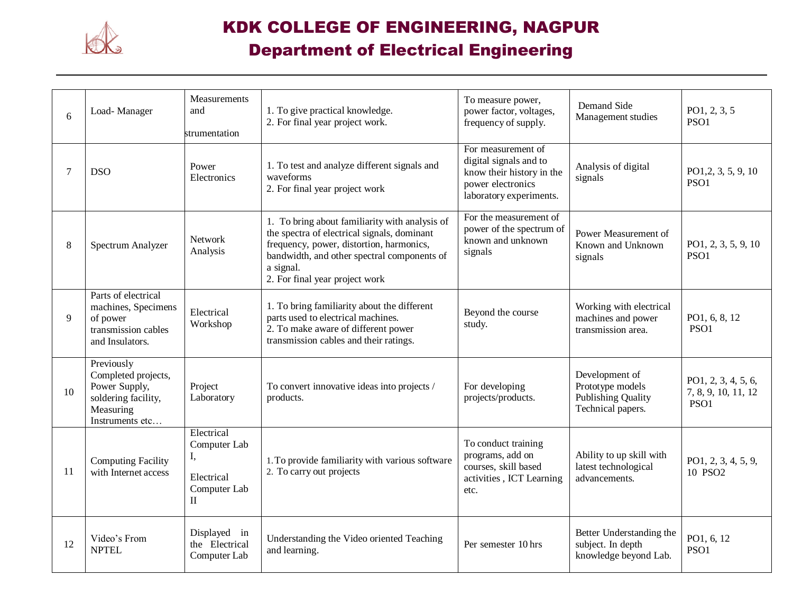

# KDK COLLEGE OF ENGINEERING, NAGPUR

### Department of Electrical Engineering

| 6  | Load-Manager                                                                                              | Measurements<br>and<br>strumentation                                | 1. To give practical knowledge.<br>2. For final year project work.                                                                                                                                                                      | To measure power,<br>power factor, voltages,<br>frequency of supply.                                                      | Demand Side<br>Management studies                                                    | PO1, 2, 3, 5<br>PSO1                               |
|----|-----------------------------------------------------------------------------------------------------------|---------------------------------------------------------------------|-----------------------------------------------------------------------------------------------------------------------------------------------------------------------------------------------------------------------------------------|---------------------------------------------------------------------------------------------------------------------------|--------------------------------------------------------------------------------------|----------------------------------------------------|
| 7  | <b>DSO</b>                                                                                                | Power<br>Electronics                                                | 1. To test and analyze different signals and<br>waveforms<br>2. For final year project work                                                                                                                                             | For measurement of<br>digital signals and to<br>know their history in the<br>power electronics<br>laboratory experiments. | Analysis of digital<br>signals                                                       | PO1, 2, 3, 5, 9, 10<br>PSO <sub>1</sub>            |
| 8  | Spectrum Analyzer                                                                                         | Network<br>Analysis                                                 | 1. To bring about familiarity with analysis of<br>the spectra of electrical signals, dominant<br>frequency, power, distortion, harmonics,<br>bandwidth, and other spectral components of<br>a signal.<br>2. For final year project work | For the measurement of<br>power of the spectrum of<br>known and unknown<br>signals                                        | Power Measurement of<br>Known and Unknown<br>signals                                 | PO1, 2, 3, 5, 9, 10<br>PSO1                        |
| 9  | Parts of electrical<br>machines, Specimens<br>of power<br>transmission cables<br>and Insulators.          | Electrical<br>Workshop                                              | 1. To bring familiarity about the different<br>parts used to electrical machines.<br>2. To make aware of different power<br>transmission cables and their ratings.                                                                      | Beyond the course<br>study.                                                                                               | Working with electrical<br>machines and power<br>transmission area.                  | PO1, 6, 8, 12<br>PSO1                              |
| 10 | Previously<br>Completed projects,<br>Power Supply,<br>soldering facility,<br>Measuring<br>Instruments etc | Project<br>Laboratory                                               | To convert innovative ideas into projects /<br>products.                                                                                                                                                                                | For developing<br>projects/products.                                                                                      | Development of<br>Prototype models<br><b>Publishing Quality</b><br>Technical papers. | PO1, 2, 3, 4, 5, 6,<br>7, 8, 9, 10, 11, 12<br>PSO1 |
| 11 | <b>Computing Facility</b><br>with Internet access                                                         | Electrical<br>Computer Lab<br>Ι,<br>Electrical<br>Computer Lab<br>П | 1. To provide familiarity with various software<br>2. To carry out projects                                                                                                                                                             | To conduct training<br>programs, add on<br>courses, skill based<br>activities, ICT Learning<br>etc.                       | Ability to up skill with<br>latest technological<br>advancements.                    | PO1, 2, 3, 4, 5, 9,<br>10 PSO2                     |
| 12 | Video's From<br><b>NPTEL</b>                                                                              | Displayed in<br>the Electrical<br>Computer Lab                      | Understanding the Video oriented Teaching<br>and learning.                                                                                                                                                                              | Per semester 10 hrs                                                                                                       | Better Understanding the<br>subject. In depth<br>knowledge beyond Lab.               | PO1, 6, 12<br>PSO1                                 |